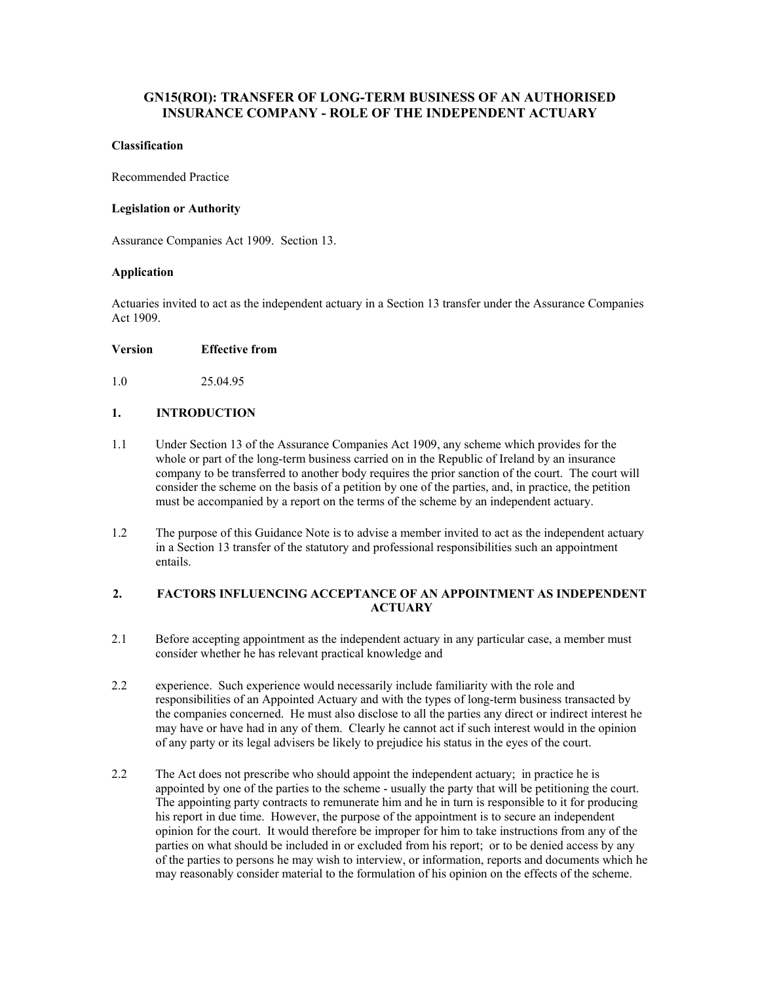# **GN15(ROI): TRANSFER OF LONG-TERM BUSINESS OF AN AUTHORISED INSURANCE COMPANY - ROLE OF THE INDEPENDENT ACTUARY**

## **Classification**

Recommended Practice

## **Legislation or Authority**

Assurance Companies Act 1909. Section 13.

## **Application**

Actuaries invited to act as the independent actuary in a Section 13 transfer under the Assurance Companies Act 1909.

#### **Version Effective from**

1.0 25.04.95

## **1. INTRODUCTION**

- 1.1 Under Section 13 of the Assurance Companies Act 1909, any scheme which provides for the whole or part of the long-term business carried on in the Republic of Ireland by an insurance company to be transferred to another body requires the prior sanction of the court. The court will consider the scheme on the basis of a petition by one of the parties, and, in practice, the petition must be accompanied by a report on the terms of the scheme by an independent actuary.
- 1.2 The purpose of this Guidance Note is to advise a member invited to act as the independent actuary in a Section 13 transfer of the statutory and professional responsibilities such an appointment entails.

## **2. FACTORS INFLUENCING ACCEPTANCE OF AN APPOINTMENT AS INDEPENDENT ACTUARY**

- 2.1 Before accepting appointment as the independent actuary in any particular case, a member must consider whether he has relevant practical knowledge and
- 2.2 experience. Such experience would necessarily include familiarity with the role and responsibilities of an Appointed Actuary and with the types of long-term business transacted by the companies concerned. He must also disclose to all the parties any direct or indirect interest he may have or have had in any of them. Clearly he cannot act if such interest would in the opinion of any party or its legal advisers be likely to prejudice his status in the eyes of the court.
- 2.2 The Act does not prescribe who should appoint the independent actuary; in practice he is appointed by one of the parties to the scheme - usually the party that will be petitioning the court. The appointing party contracts to remunerate him and he in turn is responsible to it for producing his report in due time. However, the purpose of the appointment is to secure an independent opinion for the court. It would therefore be improper for him to take instructions from any of the parties on what should be included in or excluded from his report; or to be denied access by any of the parties to persons he may wish to interview, or information, reports and documents which he may reasonably consider material to the formulation of his opinion on the effects of the scheme.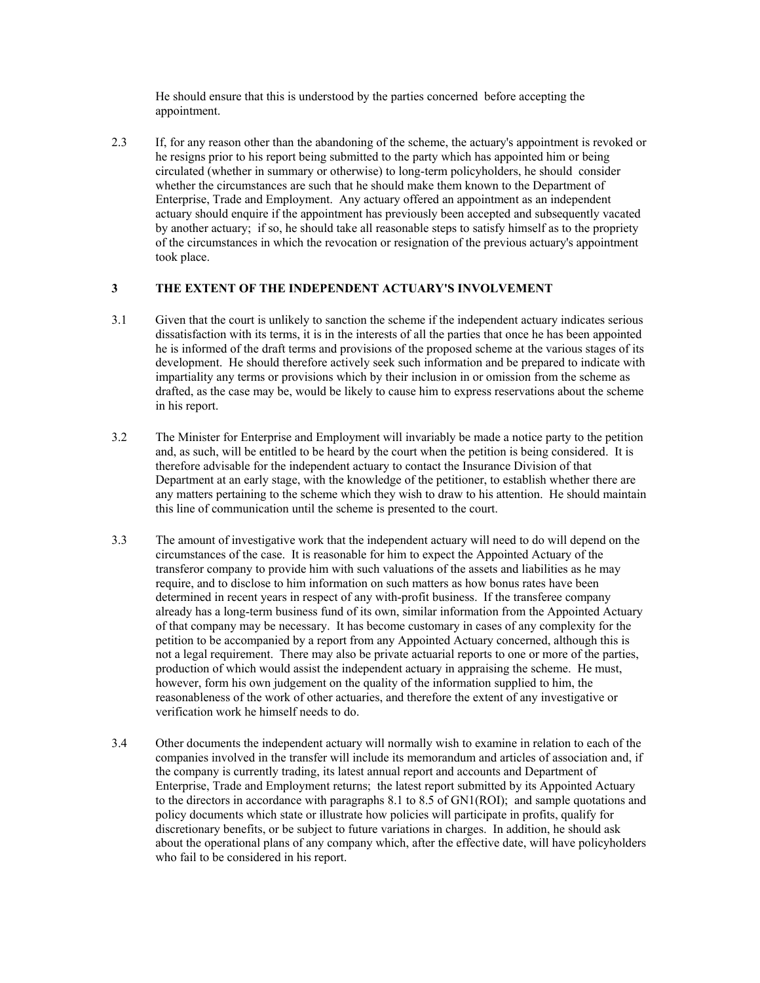He should ensure that this is understood by the parties concerned before accepting the appointment.

2.3 If, for any reason other than the abandoning of the scheme, the actuary's appointment is revoked or he resigns prior to his report being submitted to the party which has appointed him or being circulated (whether in summary or otherwise) to long-term policyholders, he should consider whether the circumstances are such that he should make them known to the Department of Enterprise, Trade and Employment. Any actuary offered an appointment as an independent actuary should enquire if the appointment has previously been accepted and subsequently vacated by another actuary; if so, he should take all reasonable steps to satisfy himself as to the propriety of the circumstances in which the revocation or resignation of the previous actuary's appointment took place.

## **3 THE EXTENT OF THE INDEPENDENT ACTUARY'S INVOLVEMENT**

- 3.1 Given that the court is unlikely to sanction the scheme if the independent actuary indicates serious dissatisfaction with its terms, it is in the interests of all the parties that once he has been appointed he is informed of the draft terms and provisions of the proposed scheme at the various stages of its development. He should therefore actively seek such information and be prepared to indicate with impartiality any terms or provisions which by their inclusion in or omission from the scheme as drafted, as the case may be, would be likely to cause him to express reservations about the scheme in his report.
- 3.2 The Minister for Enterprise and Employment will invariably be made a notice party to the petition and, as such, will be entitled to be heard by the court when the petition is being considered. It is therefore advisable for the independent actuary to contact the Insurance Division of that Department at an early stage, with the knowledge of the petitioner, to establish whether there are any matters pertaining to the scheme which they wish to draw to his attention. He should maintain this line of communication until the scheme is presented to the court.
- 3.3 The amount of investigative work that the independent actuary will need to do will depend on the circumstances of the case. It is reasonable for him to expect the Appointed Actuary of the transferor company to provide him with such valuations of the assets and liabilities as he may require, and to disclose to him information on such matters as how bonus rates have been determined in recent years in respect of any with-profit business. If the transferee company already has a long-term business fund of its own, similar information from the Appointed Actuary of that company may be necessary. It has become customary in cases of any complexity for the petition to be accompanied by a report from any Appointed Actuary concerned, although this is not a legal requirement. There may also be private actuarial reports to one or more of the parties, production of which would assist the independent actuary in appraising the scheme. He must, however, form his own judgement on the quality of the information supplied to him, the reasonableness of the work of other actuaries, and therefore the extent of any investigative or verification work he himself needs to do.
- 3.4 Other documents the independent actuary will normally wish to examine in relation to each of the companies involved in the transfer will include its memorandum and articles of association and, if the company is currently trading, its latest annual report and accounts and Department of Enterprise, Trade and Employment returns; the latest report submitted by its Appointed Actuary to the directors in accordance with paragraphs 8.1 to 8.5 of GN1(ROI); and sample quotations and policy documents which state or illustrate how policies will participate in profits, qualify for discretionary benefits, or be subject to future variations in charges. In addition, he should ask about the operational plans of any company which, after the effective date, will have policyholders who fail to be considered in his report.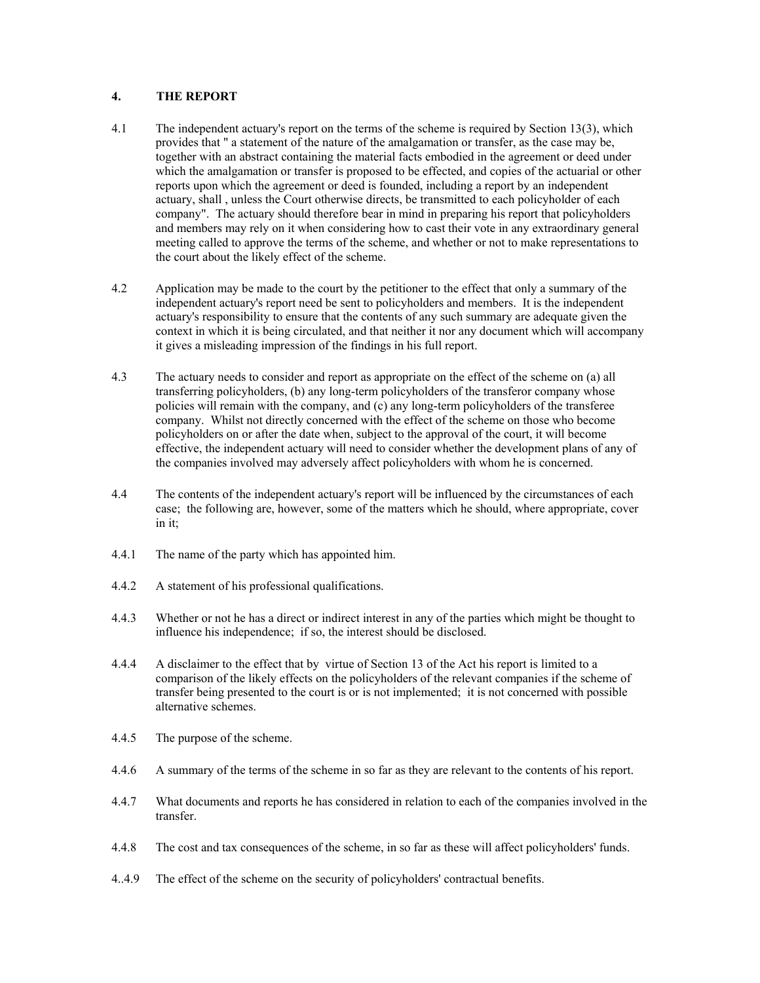# **4. THE REPORT**

- 4.1 The independent actuary's report on the terms of the scheme is required by Section 13(3), which provides that " a statement of the nature of the amalgamation or transfer, as the case may be, together with an abstract containing the material facts embodied in the agreement or deed under which the amalgamation or transfer is proposed to be effected, and copies of the actuarial or other reports upon which the agreement or deed is founded, including a report by an independent actuary, shall , unless the Court otherwise directs, be transmitted to each policyholder of each company". The actuary should therefore bear in mind in preparing his report that policyholders and members may rely on it when considering how to cast their vote in any extraordinary general meeting called to approve the terms of the scheme, and whether or not to make representations to the court about the likely effect of the scheme.
- 4.2 Application may be made to the court by the petitioner to the effect that only a summary of the independent actuary's report need be sent to policyholders and members. It is the independent actuary's responsibility to ensure that the contents of any such summary are adequate given the context in which it is being circulated, and that neither it nor any document which will accompany it gives a misleading impression of the findings in his full report.
- 4.3 The actuary needs to consider and report as appropriate on the effect of the scheme on (a) all transferring policyholders, (b) any long-term policyholders of the transferor company whose policies will remain with the company, and (c) any long-term policyholders of the transferee company. Whilst not directly concerned with the effect of the scheme on those who become policyholders on or after the date when, subject to the approval of the court, it will become effective, the independent actuary will need to consider whether the development plans of any of the companies involved may adversely affect policyholders with whom he is concerned.
- 4.4 The contents of the independent actuary's report will be influenced by the circumstances of each case; the following are, however, some of the matters which he should, where appropriate, cover in it;
- 4.4.1 The name of the party which has appointed him.
- 4.4.2 A statement of his professional qualifications.
- 4.4.3 Whether or not he has a direct or indirect interest in any of the parties which might be thought to influence his independence; if so, the interest should be disclosed.
- 4.4.4 A disclaimer to the effect that by virtue of Section 13 of the Act his report is limited to a comparison of the likely effects on the policyholders of the relevant companies if the scheme of transfer being presented to the court is or is not implemented; it is not concerned with possible alternative schemes.
- 4.4.5 The purpose of the scheme.
- 4.4.6 A summary of the terms of the scheme in so far as they are relevant to the contents of his report.
- 4.4.7 What documents and reports he has considered in relation to each of the companies involved in the transfer.
- 4.4.8 The cost and tax consequences of the scheme, in so far as these will affect policyholders' funds.
- 4..4.9 The effect of the scheme on the security of policyholders' contractual benefits.